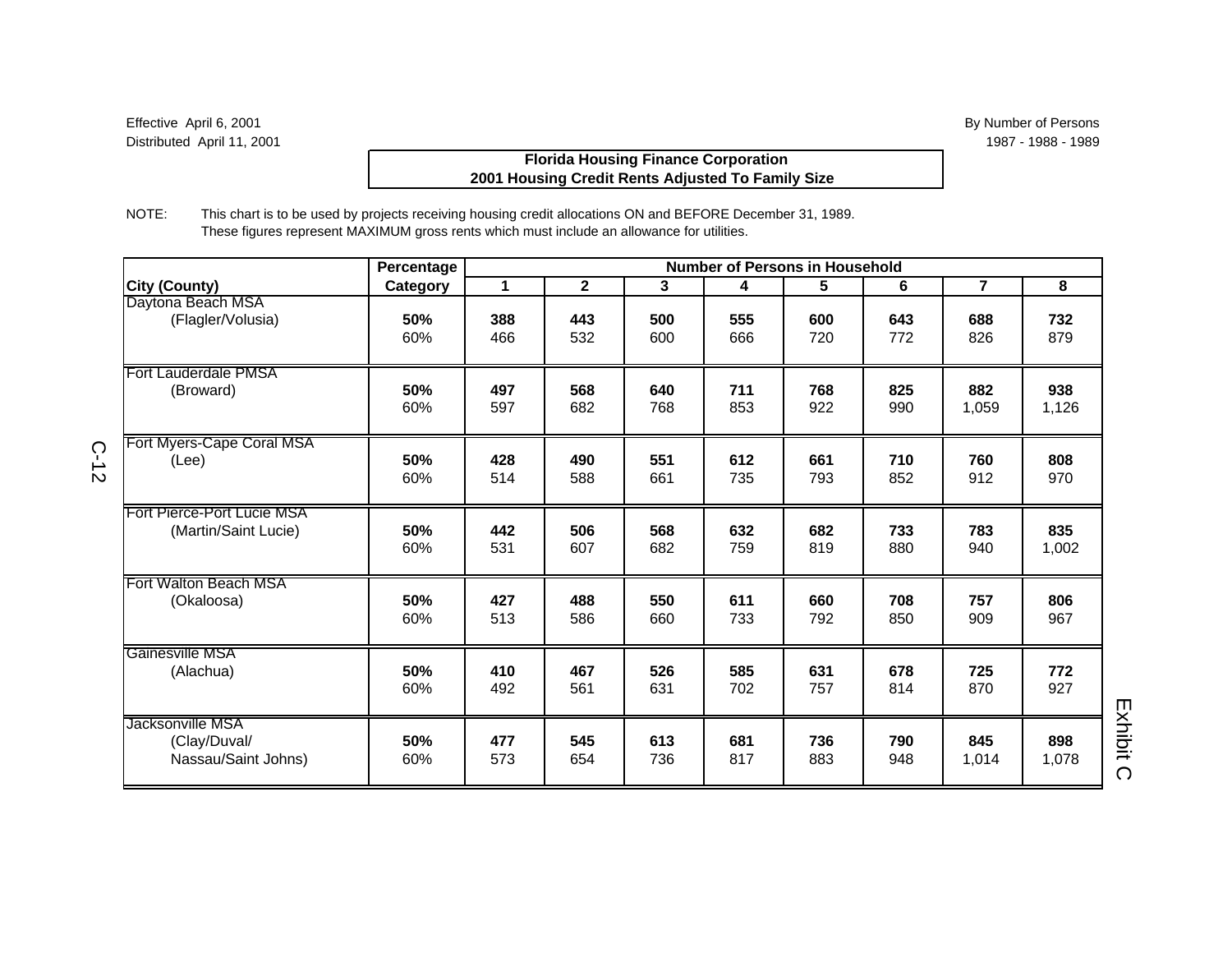# **Florida Housing Finance Corporation 2001 Housing Credit Rents Adjusted To Family Size**

NOTE: This chart is to be used by projects receiving housing credit allocations ON and BEFORE December 31, 1989. These figures represent MAXIMUM gross rents which must include an allowance for utilities.

|                                                         | Percentage |            |              |            | <b>Number of Persons in Household</b> |            |            |                |              |  |
|---------------------------------------------------------|------------|------------|--------------|------------|---------------------------------------|------------|------------|----------------|--------------|--|
| <b>City (County)</b>                                    | Category   | 1          | $\mathbf{2}$ | 3          | 4                                     | 5          | 6          | $\overline{7}$ | 8            |  |
| Daytona Beach MSA                                       | 50%        | 388        | 443          | 500        | 555                                   | 600        | 643        | 688            | 732          |  |
| (Flagler/Volusia)                                       | 60%        | 466        | 532          | 600        | 666                                   | 720        | 772        | 826            | 879          |  |
| <b>Fort Lauderdale PMSA</b>                             | 50%        | 497        | 568          | 640        | 711                                   | 768        | 825        | 882            | 938          |  |
| (Broward)                                               | 60%        | 597        | 682          | 768        | 853                                   | 922        | 990        | 1,059          | 1,126        |  |
| Fort Myers-Cape Coral MSA                               | 50%        | 428        | 490          | 551        | 612                                   | 661        | 710        | 760            | 808          |  |
| (Lee)                                                   | 60%        | 514        | 588          | 661        | 735                                   | 793        | 852        | 912            | 970          |  |
| Fort Pierce-Port Lucie MSA                              | 50%        | 442        | 506          | 568        | 632                                   | 682        | 733        | 783            | 835          |  |
| (Martin/Saint Lucie)                                    | 60%        | 531        | 607          | 682        | 759                                   | 819        | 880        | 940            | 1,002        |  |
| Fort Walton Beach MSA                                   | 50%        | 427        | 488          | 550        | 611                                   | 660        | 708        | 757            | 806          |  |
| (Okaloosa)                                              | 60%        | 513        | 586          | 660        | 733                                   | 792        | 850        | 909            | 967          |  |
| Gainesville MSA                                         | 50%        | 410        | 467          | 526        | 585                                   | 631        | 678        | 725            | 772          |  |
| (Alachua)                                               | 60%        | 492        | 561          | 631        | 702                                   | 757        | 814        | 870            | 927          |  |
| Jacksonville MSA<br>(Clay/Duval/<br>Nassau/Saint Johns) | 50%<br>60% | 477<br>573 | 545<br>654   | 613<br>736 | 681<br>817                            | 736<br>883 | 790<br>948 | 845<br>1,014   | 898<br>1,078 |  |

C-12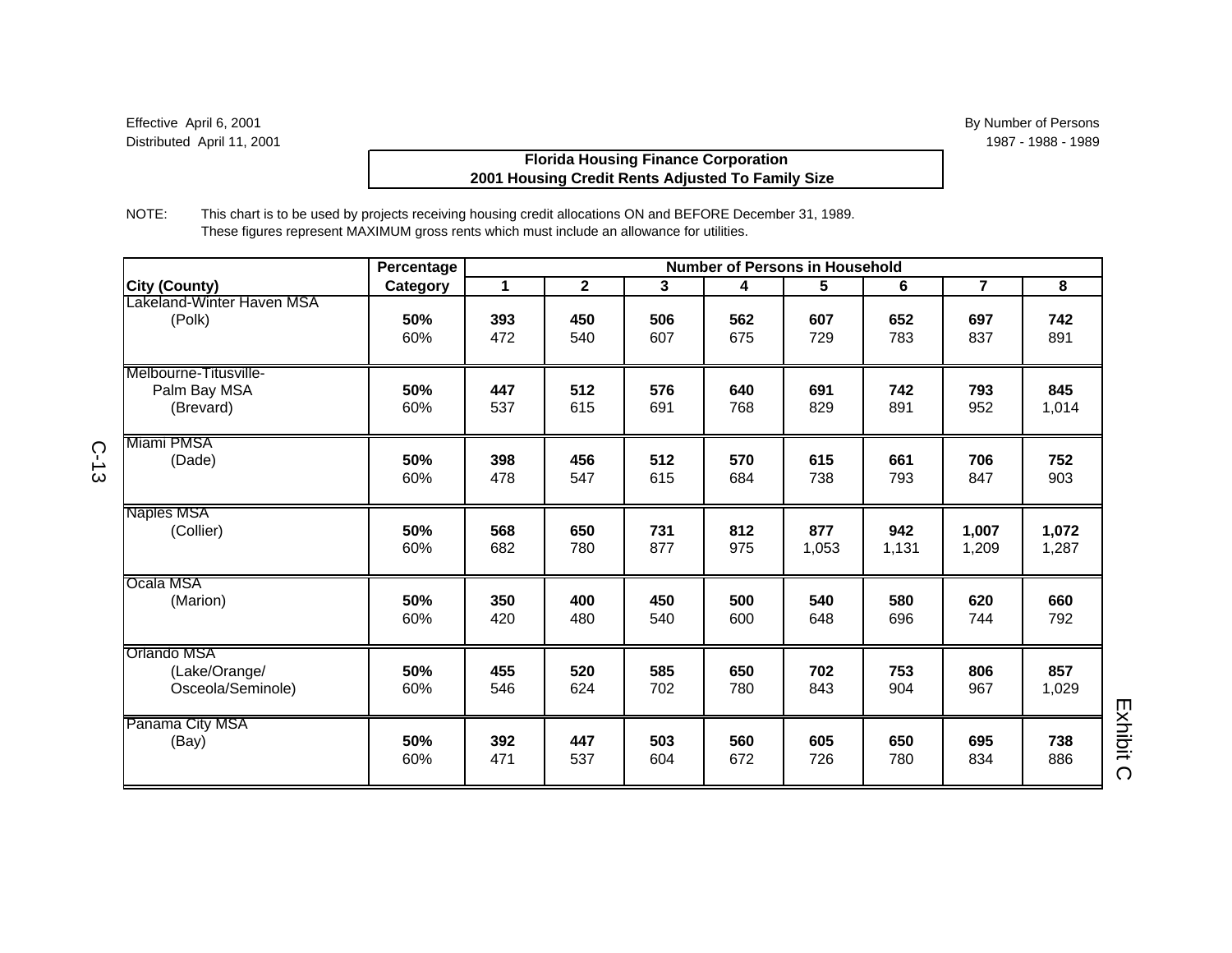# **Florida Housing Finance Corporation 2001 Housing Credit Rents Adjusted To Family Size**

NOTE: This chart is to be used by projects receiving housing credit allocations ON and BEFORE December 31, 1989. These figures represent MAXIMUM gross rents which must include an allowance for utilities.

|                                                          | Percentage |            |              |            | <b>Number of Persons in Household</b> |            |            |                |              |  |
|----------------------------------------------------------|------------|------------|--------------|------------|---------------------------------------|------------|------------|----------------|--------------|--|
| <b>City (County)</b>                                     | Category   | 1          | $\mathbf{2}$ | 3          | 4                                     | 5          | 6          | $\overline{7}$ | 8            |  |
| Lakeland-Winter Haven MSA                                | 50%        | 393        | 450          | 506        | 562                                   | 607        | 652        | 697            | 742          |  |
| (Polk)                                                   | 60%        | 472        | 540          | 607        | 675                                   | 729        | 783        | 837            | 891          |  |
| Melbourne-Titusville-<br>Palm Bay MSA<br>(Brevard)       | 50%<br>60% | 447<br>537 | 512<br>615   | 576<br>691 | 640<br>768                            | 691<br>829 | 742<br>891 | 793<br>952     | 845<br>1,014 |  |
| Miami PMSA                                               | 50%        | 398        | 456          | 512        | 570                                   | 615        | 661        | 706            | 752          |  |
| (Dade)                                                   | 60%        | 478        | 547          | 615        | 684                                   | 738        | 793        | 847            | 903          |  |
| Naples MSA                                               | 50%        | 568        | 650          | 731        | 812                                   | 877        | 942        | 1,007          | 1,072        |  |
| (Collier)                                                | 60%        | 682        | 780          | 877        | 975                                   | 1,053      | 1,131      | 1,209          | 1,287        |  |
| Ocala MSA                                                | 50%        | 350        | 400          | 450        | 500                                   | 540        | 580        | 620            | 660          |  |
| (Marion)                                                 | 60%        | 420        | 480          | 540        | 600                                   | 648        | 696        | 744            | 792          |  |
| <b>Orlando MSA</b><br>(Lake/Orange/<br>Osceola/Seminole) | 50%<br>60% | 455<br>546 | 520<br>624   | 585<br>702 | 650<br>780                            | 702<br>843 | 753<br>904 | 806<br>967     | 857<br>1,029 |  |
| Panama City MSA                                          | 50%        | 392        | 447          | 503        | 560                                   | 605        | 650        | 695            | 738          |  |
| (Bay)                                                    | 60%        | 471        | 537          | 604        | 672                                   | 726        | 780        | 834            | 886          |  |

C-13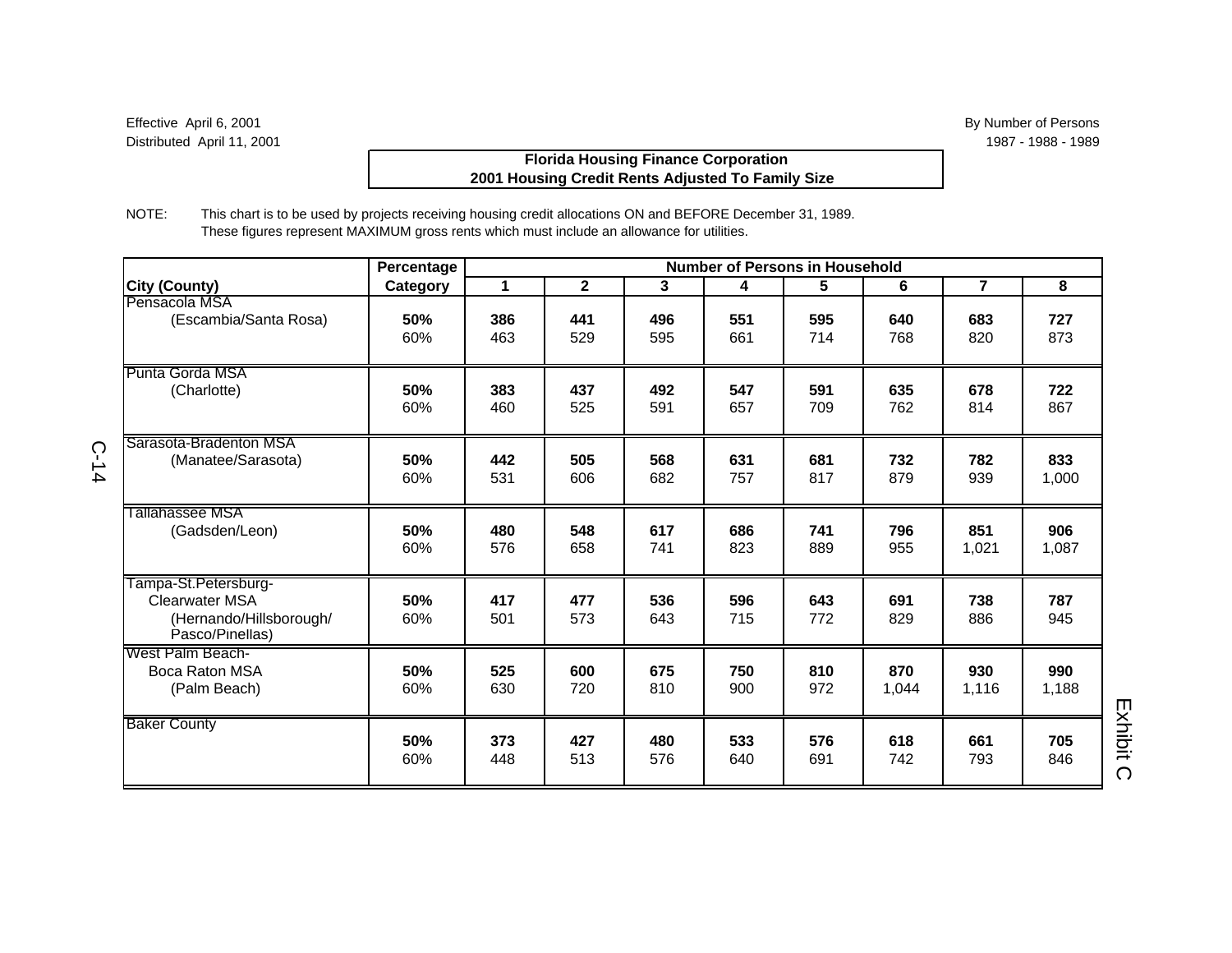# **Florida Housing Finance Corporation 2001 Housing Credit Rents Adjusted To Family Size**

NOTE: This chart is to be used by projects receiving housing credit allocations ON and BEFORE December 31, 1989. These figures represent MAXIMUM gross rents which must include an allowance for utilities.

|                                                                                             | Percentage | <b>Number of Persons in Household</b> |              |            |            |            |              |                |              |
|---------------------------------------------------------------------------------------------|------------|---------------------------------------|--------------|------------|------------|------------|--------------|----------------|--------------|
| <b>City (County)</b>                                                                        | Category   | 1                                     | $\mathbf{2}$ | 3          | 4          | 5          | 6            | $\overline{7}$ | 8            |
| Pensacola MSA                                                                               | 50%        | 386                                   | 441          | 496        | 551        | 595        | 640          | 683            | 727          |
| (Escambia/Santa Rosa)                                                                       | 60%        | 463                                   | 529          | 595        | 661        | 714        | 768          | 820            | 873          |
| Punta Gorda MSA                                                                             | 50%        | 383                                   | 437          | 492        | 547        | 591        | 635          | 678            | 722          |
| (Charlotte)                                                                                 | 60%        | 460                                   | 525          | 591        | 657        | 709        | 762          | 814            | 867          |
| Sarasota-Bradenton MSA                                                                      | 50%        | 442                                   | 505          | 568        | 631        | 681        | 732          | 782            | 833          |
| (Manatee/Sarasota)                                                                          | 60%        | 531                                   | 606          | 682        | 757        | 817        | 879          | 939            | 1,000        |
| Tallahassee MSA                                                                             | 50%        | 480                                   | 548          | 617        | 686        | 741        | 796          | 851            | 906          |
| (Gadsden/Leon)                                                                              | 60%        | 576                                   | 658          | 741        | 823        | 889        | 955          | 1,021          | 1,087        |
| Tampa-St.Petersburg-<br><b>Clearwater MSA</b><br>(Hernando/Hillsborough/<br>Pasco/Pinellas) | 50%<br>60% | 417<br>501                            | 477<br>573   | 536<br>643 | 596<br>715 | 643<br>772 | 691<br>829   | 738<br>886     | 787<br>945   |
| West Palm Beach-<br>Boca Raton MSA<br>(Palm Beach)                                          | 50%<br>60% | 525<br>630                            | 600<br>720   | 675<br>810 | 750<br>900 | 810<br>972 | 870<br>1.044 | 930<br>1,116   | 990<br>1,188 |
| <b>Baker County</b>                                                                         | 50%        | 373                                   | 427          | 480        | 533        | 576        | 618          | 661            | 705          |
|                                                                                             | 60%        | 448                                   | 513          | 576        | 640        | 691        | 742          | 793            | 846          |

C-14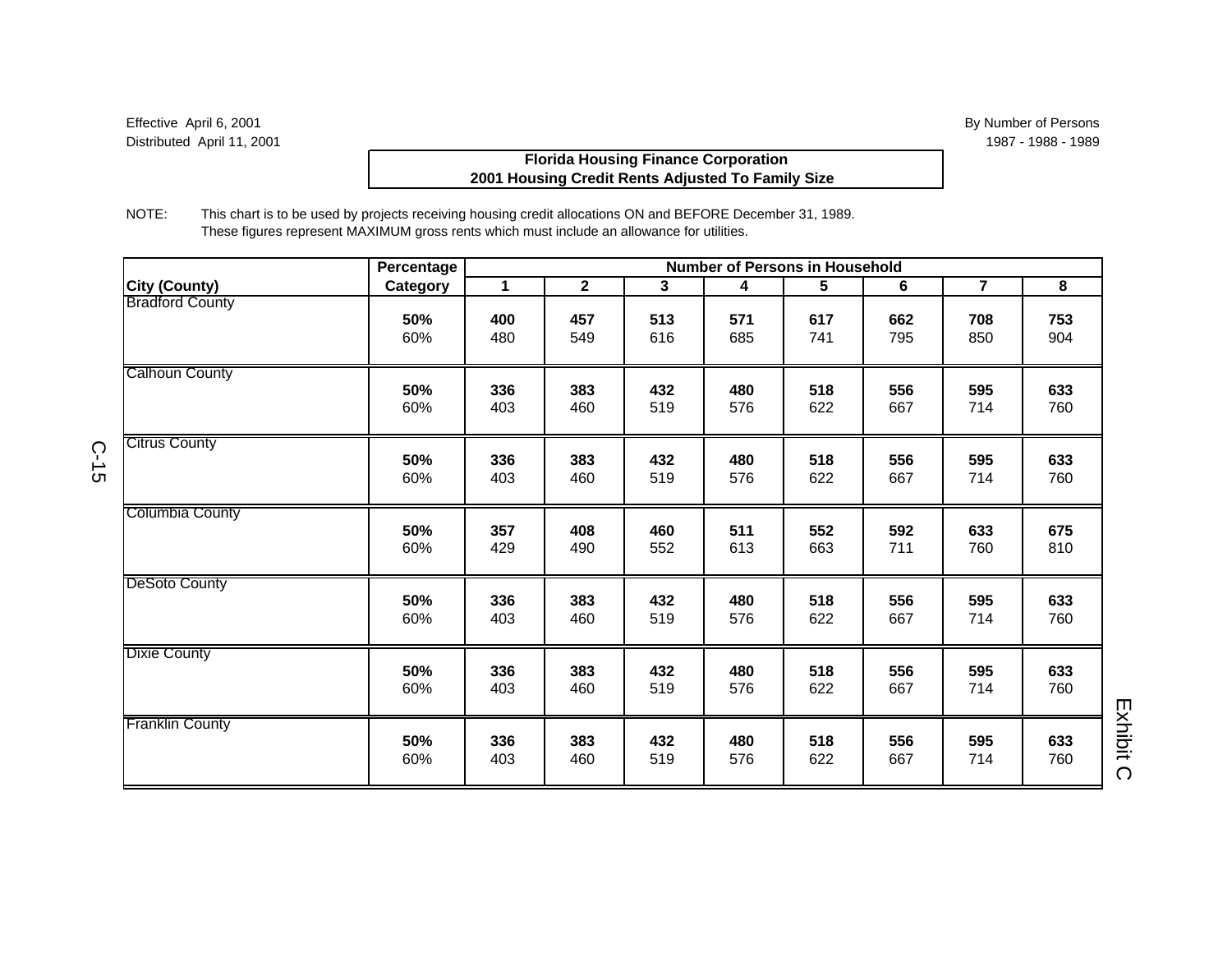# **Florida Housing Finance Corporation 2001 Housing Credit Rents Adjusted To Family Size**

NOTE: This chart is to be used by projects receiving housing credit allocations ON and BEFORE December 31, 1989. These figures represent MAXIMUM gross rents which must include an allowance for utilities.

|                        | Percentage |             |                |              | <b>Number of Persons in Household</b> |     |     |                |     |
|------------------------|------------|-------------|----------------|--------------|---------------------------------------|-----|-----|----------------|-----|
| <b>City (County)</b>   | Category   | $\mathbf 1$ | $\overline{2}$ | $\mathbf{3}$ | 4                                     | 5   | 6   | $\overline{7}$ | 8   |
| <b>Bradford County</b> | 50%        | 400         | 457            | 513          | 571                                   | 617 | 662 | 708            | 753 |
|                        | 60%        | 480         | 549            | 616          | 685                                   | 741 | 795 | 850            | 904 |
| <b>Calhoun County</b>  | 50%        | 336         | 383            | 432          | 480                                   | 518 | 556 | 595            | 633 |
|                        | 60%        | 403         | 460            | 519          | 576                                   | 622 | 667 | 714            | 760 |
| <b>Citrus County</b>   | 50%        | 336         | 383            | 432          | 480                                   | 518 | 556 | 595            | 633 |
|                        | 60%        | 403         | 460            | 519          | 576                                   | 622 | 667 | 714            | 760 |
| <b>Columbia County</b> | 50%        | 357         | 408            | 460          | 511                                   | 552 | 592 | 633            | 675 |
|                        | 60%        | 429         | 490            | 552          | 613                                   | 663 | 711 | 760            | 810 |
| <b>DeSoto County</b>   | 50%        | 336         | 383            | 432          | 480                                   | 518 | 556 | 595            | 633 |
|                        | 60%        | 403         | 460            | 519          | 576                                   | 622 | 667 | 714            | 760 |
| <b>Dixie County</b>    | 50%        | 336         | 383            | 432          | 480                                   | 518 | 556 | 595            | 633 |
|                        | 60%        | 403         | 460            | 519          | 576                                   | 622 | 667 | 714            | 760 |
| <b>Franklin County</b> | 50%        | 336         | 383            | 432          | 480                                   | 518 | 556 | 595            | 633 |
|                        | 60%        | 403         | 460            | 519          | 576                                   | 622 | 667 | 714            | 760 |

C-15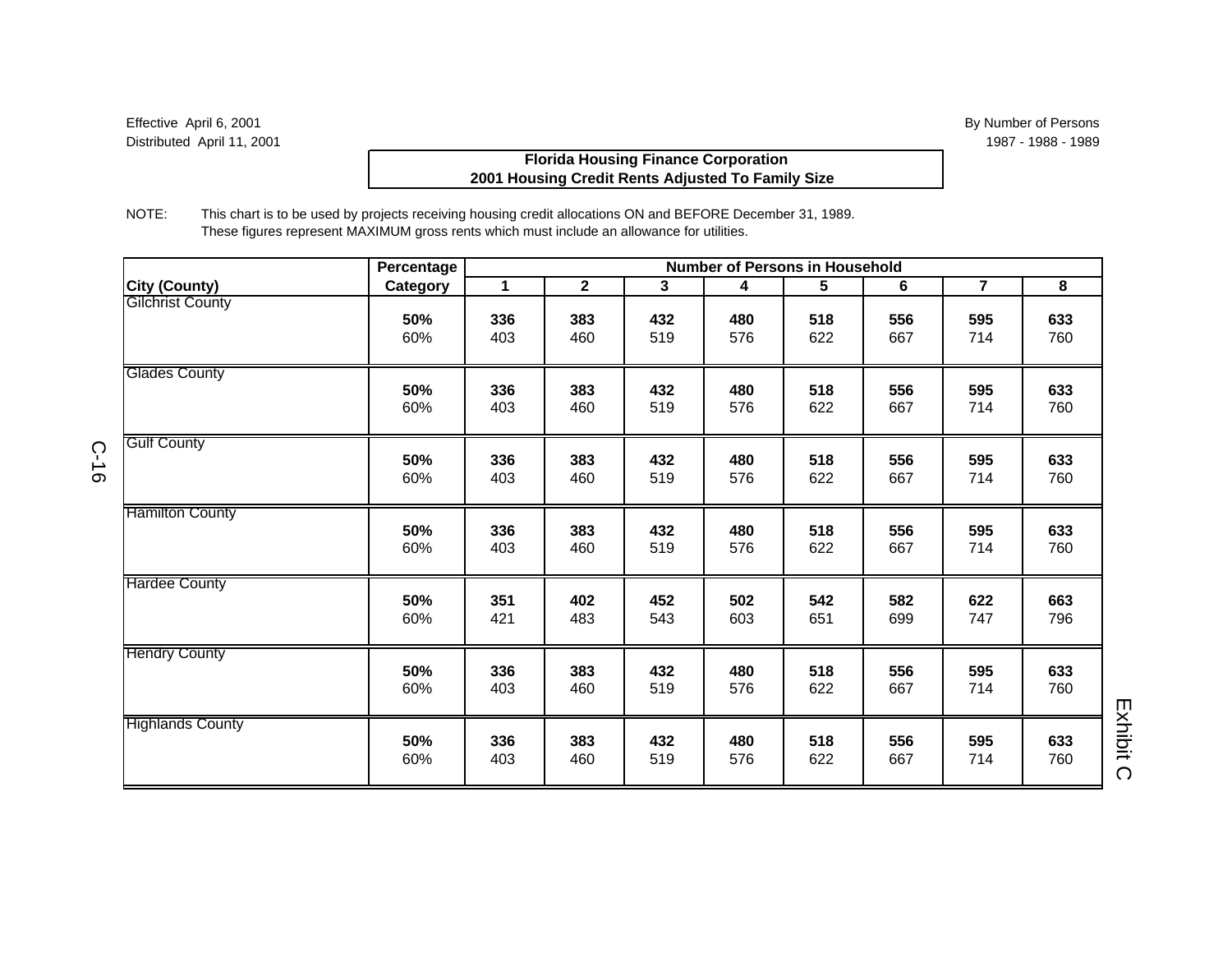# **Florida Housing Finance Corporation 2001 Housing Credit Rents Adjusted To Family Size**

NOTE: This chart is to be used by projects receiving housing credit allocations ON and BEFORE December 31, 1989. These figures represent MAXIMUM gross rents which must include an allowance for utilities.

|                         | Percentage |              |                |            | <b>Number of Persons in Household</b> |            |            |                |            |                       |
|-------------------------|------------|--------------|----------------|------------|---------------------------------------|------------|------------|----------------|------------|-----------------------|
| <b>City (County)</b>    | Category   | $\mathbf{1}$ | $\overline{2}$ | 3          | 4                                     | 5          | 6          | $\overline{7}$ | 8          |                       |
| <b>Gilchrist County</b> | 50%<br>60% | 336<br>403   | 383<br>460     | 432<br>519 | 480<br>576                            | 518<br>622 | 556<br>667 | 595<br>714     | 633<br>760 |                       |
| <b>Glades County</b>    | 50%<br>60% | 336<br>403   | 383<br>460     | 432<br>519 | 480<br>576                            | 518<br>622 | 556<br>667 | 595<br>714     | 633<br>760 |                       |
| <b>Gulf County</b>      | 50%<br>60% | 336<br>403   | 383<br>460     | 432<br>519 | 480<br>576                            | 518<br>622 | 556<br>667 | 595<br>714     | 633<br>760 |                       |
| <b>Hamilton County</b>  | 50%<br>60% | 336<br>403   | 383<br>460     | 432<br>519 | 480<br>576                            | 518<br>622 | 556<br>667 | 595<br>714     | 633<br>760 |                       |
| <b>Hardee County</b>    | 50%<br>60% | 351<br>421   | 402<br>483     | 452<br>543 | 502<br>603                            | 542<br>651 | 582<br>699 | 622<br>747     | 663<br>796 |                       |
| <b>Hendry County</b>    | 50%<br>60% | 336<br>403   | 383<br>460     | 432<br>519 | 480<br>576                            | 518<br>622 | 556<br>667 | 595<br>714     | 633<br>760 |                       |
| <b>Highlands County</b> | 50%<br>60% | 336<br>403   | 383<br>460     | 432<br>519 | 480<br>576                            | 518<br>622 | 556<br>667 | 595<br>714     | 633<br>760 | Exhibit<br>$\bigcirc$ |

C-16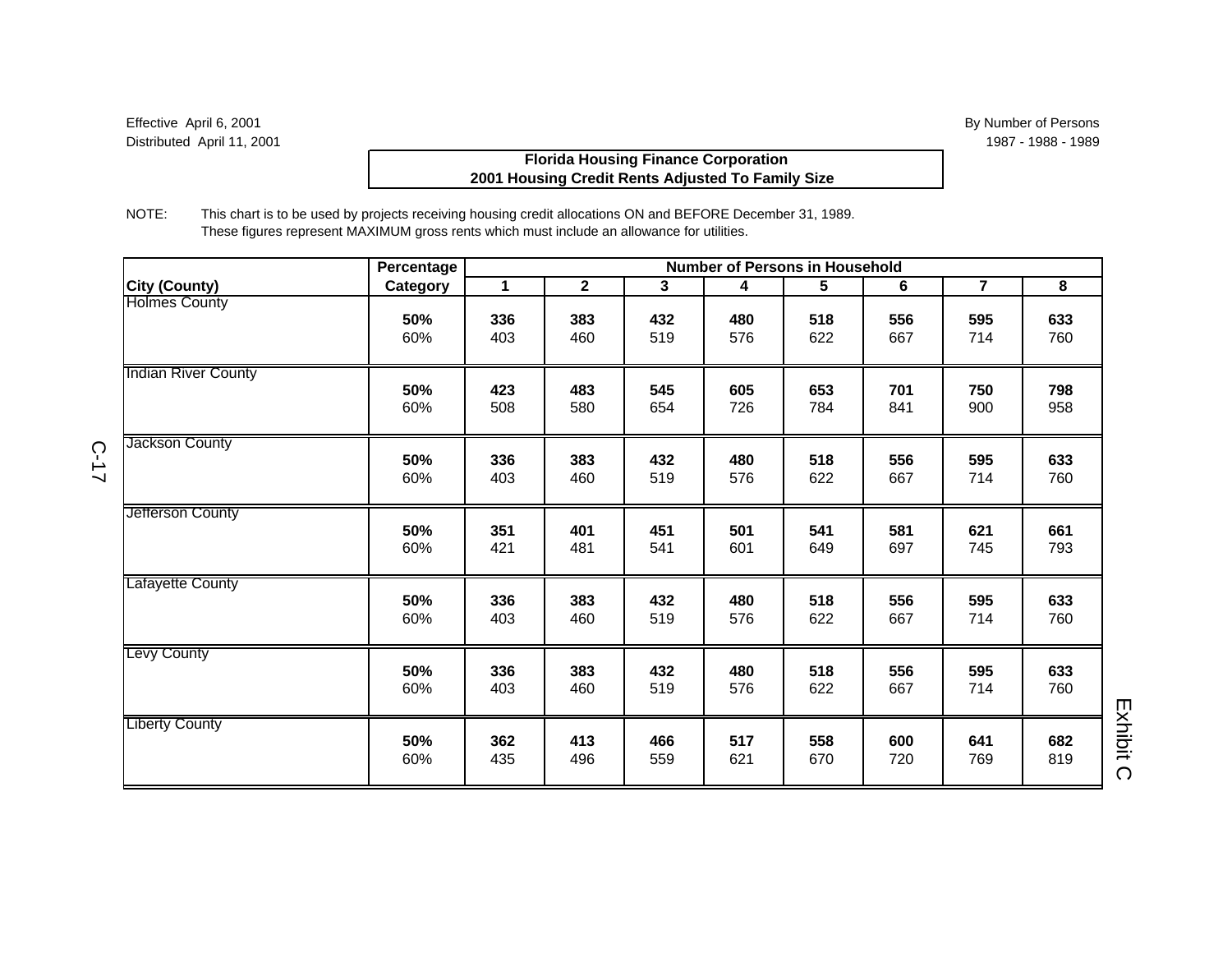# **Florida Housing Finance Corporation 2001 Housing Credit Rents Adjusted To Family Size**

NOTE: This chart is to be used by projects receiving housing credit allocations ON and BEFORE December 31, 1989. These figures represent MAXIMUM gross rents which must include an allowance for utilities.

|                            | Percentage |             |                |              | <b>Number of Persons in Household</b> |     |     |                |     |
|----------------------------|------------|-------------|----------------|--------------|---------------------------------------|-----|-----|----------------|-----|
| <b>City (County)</b>       | Category   | $\mathbf 1$ | $\overline{2}$ | $\mathbf{3}$ | 4                                     | 5   | 6   | $\overline{7}$ | 8   |
| <b>Holmes County</b>       | 50%        | 336         | 383            | 432          | 480                                   | 518 | 556 | 595            | 633 |
|                            | 60%        | 403         | 460            | 519          | 576                                   | 622 | 667 | 714            | 760 |
| <b>Indian River County</b> | 50%        | 423         | 483            | 545          | 605                                   | 653 | 701 | 750            | 798 |
|                            | 60%        | 508         | 580            | 654          | 726                                   | 784 | 841 | 900            | 958 |
| Jackson County             | 50%        | 336         | 383            | 432          | 480                                   | 518 | 556 | 595            | 633 |
|                            | 60%        | 403         | 460            | 519          | 576                                   | 622 | 667 | 714            | 760 |
| Jetterson County           | 50%        | 351         | 401            | 451          | 501                                   | 541 | 581 | 621            | 661 |
|                            | 60%        | 421         | 481            | 541          | 601                                   | 649 | 697 | 745            | 793 |
| Lafayette County           | 50%        | 336         | 383            | 432          | 480                                   | 518 | 556 | 595            | 633 |
|                            | 60%        | 403         | 460            | 519          | 576                                   | 622 | 667 | 714            | 760 |
| Levy County                | 50%        | 336         | 383            | 432          | 480                                   | 518 | 556 | 595            | 633 |
|                            | 60%        | 403         | 460            | 519          | 576                                   | 622 | 667 | 714            | 760 |
| <b>Liberty County</b>      | 50%        | 362         | 413            | 466          | 517                                   | 558 | 600 | 641            | 682 |
|                            | 60%        | 435         | 496            | 559          | 621                                   | 670 | 720 | 769            | 819 |

C-17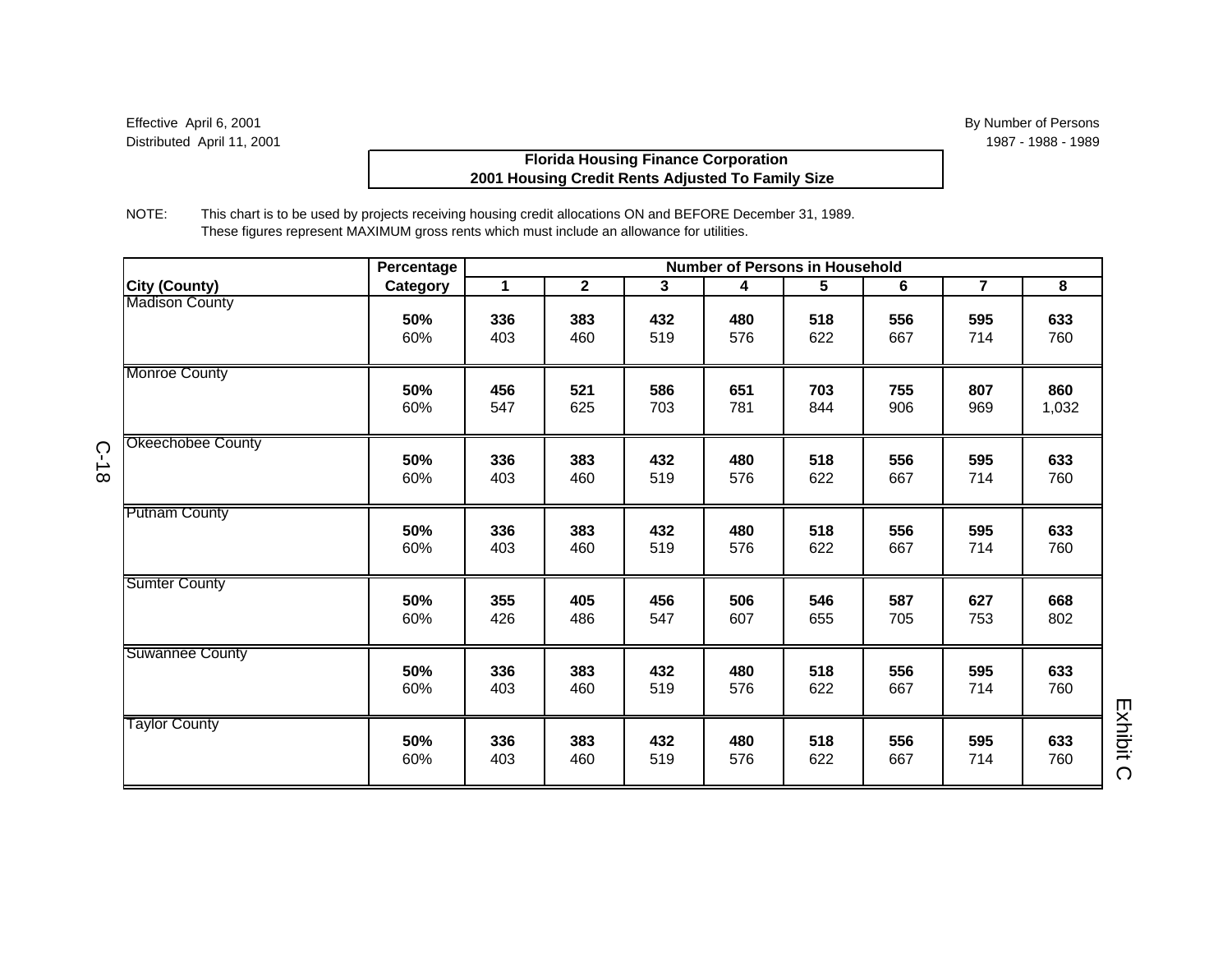C-18

# **Florida Housing Finance Corporation 2001 Housing Credit Rents Adjusted To Family Size**

NOTE: This chart is to be used by projects receiving housing credit allocations ON and BEFORE December 31, 1989. These figures represent MAXIMUM gross rents which must include an allowance for utilities.

|                          | Percentage | <b>Number of Persons in Household</b> |                |                |     |                 |     |                |       |  |
|--------------------------|------------|---------------------------------------|----------------|----------------|-----|-----------------|-----|----------------|-------|--|
| City (County)            | Category   | $\mathbf{1}$                          | $\overline{2}$ | 3 <sup>1</sup> | 4   | $5\phantom{.0}$ | 6   | $\overline{7}$ | 8     |  |
| <b>Madison County</b>    |            |                                       |                |                |     |                 |     |                |       |  |
|                          | 50%        | 336                                   | 383            | 432            | 480 | 518             | 556 | 595            | 633   |  |
|                          | 60%        | 403                                   | 460            | 519            | 576 | 622             | 667 | 714            | 760   |  |
| <b>Monroe County</b>     |            |                                       |                |                |     |                 |     |                |       |  |
|                          | 50%        | 456                                   | 521            | 586            | 651 | 703             | 755 | 807            | 860   |  |
|                          | 60%        | 547                                   | 625            | 703            | 781 | 844             | 906 | 969            | 1,032 |  |
| <b>Okeechobee County</b> |            |                                       |                |                |     |                 |     |                |       |  |
|                          | 50%        | 336                                   | 383            | 432            | 480 | 518             | 556 | 595            | 633   |  |
|                          | 60%        | 403                                   | 460            | 519            | 576 | 622             | 667 | 714            | 760   |  |
|                          |            |                                       |                |                |     |                 |     |                |       |  |
| <b>Putnam County</b>     |            |                                       |                |                |     |                 |     |                |       |  |
|                          | 50%        | 336                                   | 383            | 432            | 480 | 518             | 556 | 595            | 633   |  |
|                          | 60%        | 403                                   | 460            | 519            | 576 | 622             | 667 | 714            | 760   |  |
| <b>Sumter County</b>     |            |                                       |                |                |     |                 |     |                |       |  |
|                          | 50%        | 355                                   | 405            | 456            | 506 | 546             | 587 | 627            | 668   |  |
|                          | 60%        | 426                                   | 486            | 547            | 607 | 655             | 705 | 753            | 802   |  |
| Suwannee County          |            |                                       |                |                |     |                 |     |                |       |  |
|                          | 50%        | 336                                   | 383            | 432            | 480 | 518             | 556 | 595            | 633   |  |
|                          | 60%        | 403                                   | 460            | 519            | 576 | 622             | 667 | 714            | 760   |  |
| <b>Taylor County</b>     |            |                                       |                |                |     |                 |     |                |       |  |
|                          | 50%        | 336                                   | 383            | 432            | 480 | 518             | 556 | 595            | 633   |  |
|                          | 60%        | 403                                   | 460            | 519            | 576 | 622             | 667 | 714            | 760   |  |
|                          |            |                                       |                |                |     |                 |     |                |       |  |